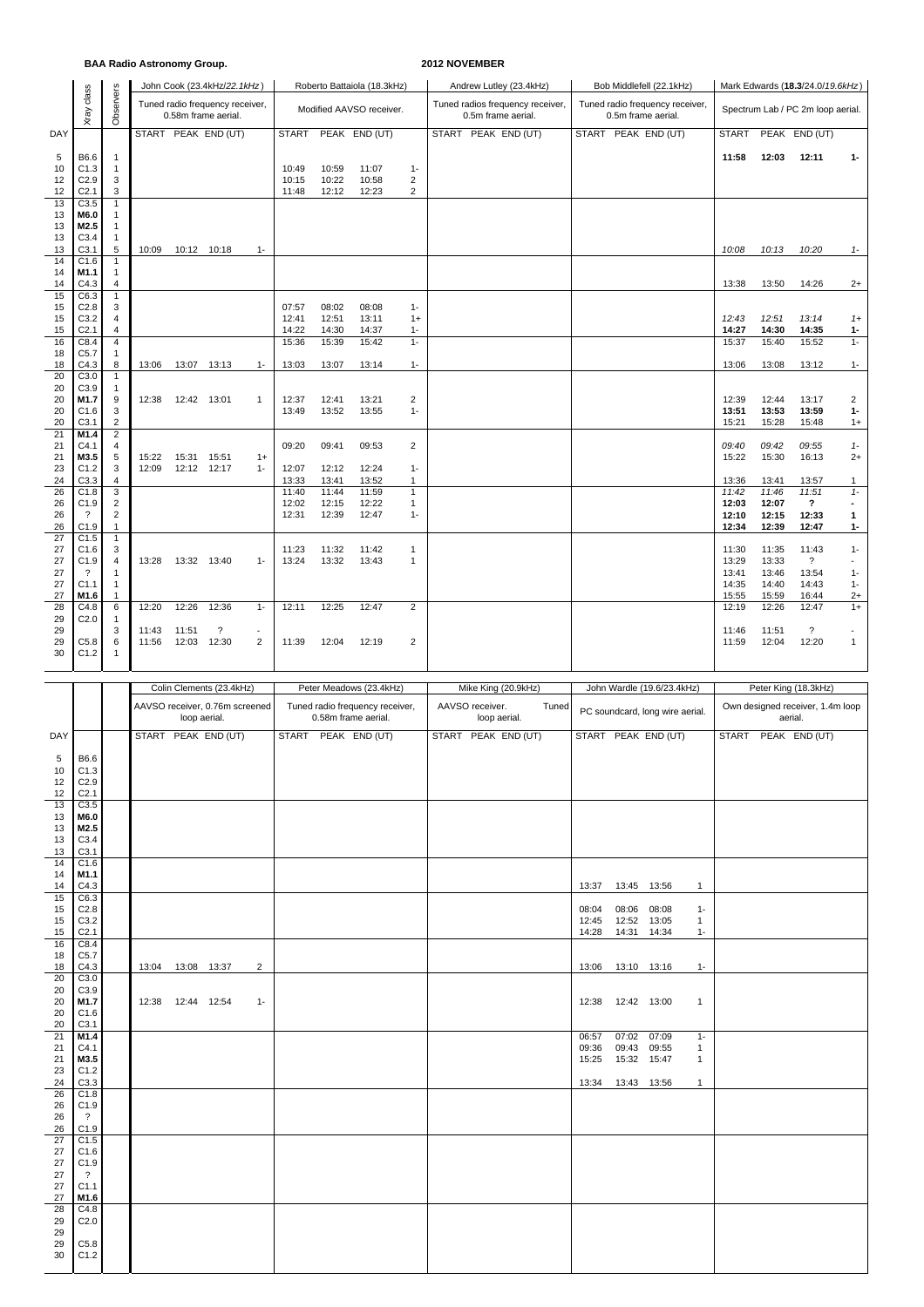## **BAA Radio Astronomy Group. 2012 NOVEMBER**

|                | Xray class                           | Observers                        |                |                     | John Cook (23.4kHz/22.1kHz)<br>Tuned radio frequency receiver, |                     |                |                | Roberto Battaiola (18.3kHz)                                |                                           | Andrew Lutley (23.4kHz)<br>Tuned radios frequency receiver, |                     |                    | Bob Middlefell (22.1kHz)<br>Tuned radio frequency receiver, | Mark Edwards (18.3/24.0/19.6kHz)<br>Spectrum Lab / PC 2m loop aerial. |                |                                                          |                                |  |  |
|----------------|--------------------------------------|----------------------------------|----------------|---------------------|----------------------------------------------------------------|---------------------|----------------|----------------|------------------------------------------------------------|-------------------------------------------|-------------------------------------------------------------|---------------------|--------------------|-------------------------------------------------------------|-----------------------------------------------------------------------|----------------|----------------------------------------------------------|--------------------------------|--|--|
|                |                                      |                                  |                |                     | 0.58m frame aerial.                                            |                     |                |                | Modified AAVSO receiver.                                   |                                           | 0.5m frame aerial.                                          |                     | 0.5m frame aerial. |                                                             |                                                                       |                |                                                          |                                |  |  |
| DAY            |                                      |                                  |                |                     | START PEAK END (UT)                                            |                     | <b>START</b>   |                | PEAK END (UT)                                              |                                           | START PEAK END (UT)                                         |                     |                    | START PEAK END (UT)                                         | <b>START</b>                                                          |                | PEAK END (UT)                                            |                                |  |  |
| 5<br>10        | B6.6<br>C1.3                         | $\mathbf{1}$<br>$\mathbf{1}$     |                |                     |                                                                |                     | 10:49          | 10:59          | 11:07                                                      | $1 -$                                     |                                                             |                     |                    |                                                             | 11:58                                                                 | 12:03          | 12:11                                                    | $1-$                           |  |  |
| 12<br>12       | C2.9<br>C <sub>2.1</sub>             | 3<br>3                           |                |                     |                                                                |                     | 10:15<br>11:48 | 10:22<br>12:12 | 10:58<br>12:23                                             | $\overline{c}$<br>$\overline{\mathbf{c}}$ |                                                             |                     |                    |                                                             |                                                                       |                |                                                          |                                |  |  |
| 13<br>13       | C3.5<br>M6.0                         | $\mathbf{1}$<br>$\mathbf{1}$     |                |                     |                                                                |                     |                |                |                                                            |                                           |                                                             |                     |                    |                                                             |                                                                       |                |                                                          |                                |  |  |
| 13             | M2.5                                 | $\mathbf{1}$                     |                |                     |                                                                |                     |                |                |                                                            |                                           |                                                             |                     |                    |                                                             |                                                                       |                |                                                          |                                |  |  |
| 13<br>13       | C3.4<br>C3.1                         | $\mathbf{1}$<br>5                | 10:09          |                     | 10:12 10:18                                                    | $1 -$               |                |                |                                                            |                                           |                                                             |                     |                    |                                                             | 10:08                                                                 | 10:13          | 10:20                                                    | $1-$                           |  |  |
| 14<br>14       | C1.6<br>M1.1                         | $\mathbf{1}$<br>$\mathbf{1}$     |                |                     |                                                                |                     |                |                |                                                            |                                           |                                                             |                     |                    |                                                             |                                                                       |                |                                                          |                                |  |  |
| 14<br>15       | C4.3<br>C6.3                         | 4<br>$\mathbf{1}$                |                |                     |                                                                |                     |                |                |                                                            |                                           |                                                             |                     |                    |                                                             | 13:38                                                                 | 13:50          | 14:26                                                    | $2+$                           |  |  |
| 15<br>15       | C2.8<br>C3.2                         | 3<br>4                           |                |                     |                                                                |                     | 07:57<br>12:41 | 08:02<br>12:51 | 08:08<br>13:11                                             | $1 -$<br>$1+$                             |                                                             |                     |                    |                                                             | 12:43                                                                 | 12:51          | 13:14                                                    | $1+$                           |  |  |
| 15<br>16       | C <sub>2.1</sub><br>C8.4             | 4<br>4                           |                |                     |                                                                |                     | 14:22<br>15:36 | 14:30<br>15:39 | 14:37<br>15:42                                             | $1-$<br>$1 -$                             |                                                             |                     |                    |                                                             | 14:27<br>15:37                                                        | 14:30<br>15:40 | 14:35<br>15:52                                           | $1 -$<br>$1 -$                 |  |  |
| 18<br>18       | C5.7<br>C4.3                         | 1<br>8                           | 13:06          |                     | 13:07 13:13                                                    | $1 -$               | 13:03          | 13:07          | 13:14                                                      | $1 -$                                     |                                                             |                     |                    |                                                             | 13:06                                                                 | 13:08          | 13:12                                                    | $1 -$                          |  |  |
| 20<br>20       | C3.0<br>C3.9                         | $\mathbf{1}$<br>$\mathbf{1}$     |                |                     |                                                                |                     |                |                |                                                            |                                           |                                                             |                     |                    |                                                             |                                                                       |                |                                                          |                                |  |  |
| 20             | M1.7                                 | 9                                | 12:38          | 12:42 13:01         |                                                                | $\mathbf{1}$        | 12:37          | 12:41          | 13:21                                                      | $\overline{2}$                            |                                                             |                     |                    |                                                             | 12:39                                                                 | 12:44          | 13:17                                                    | $\overline{2}$                 |  |  |
| 20<br>20       | C1.6<br>C3.1                         | $\mathsf 3$<br>$\sqrt{2}$        |                |                     |                                                                |                     | 13:49          | 13:52          | 13:55                                                      | $1 -$                                     |                                                             |                     |                    |                                                             | 13:51<br>15:21                                                        | 13:53<br>15:28 | 13:59<br>15:48                                           | $1 -$<br>$1+$                  |  |  |
| 21<br>21       | M1.4<br>C4.1                         | $\sqrt{2}$<br>4                  |                |                     |                                                                |                     | 09:20          | 09:41          | 09:53                                                      | $\boldsymbol{2}$                          |                                                             |                     |                    |                                                             | 09:40                                                                 | 09:42          | 09:55                                                    | $1 -$                          |  |  |
| 21<br>23       | M3.5<br>C1.2                         | 5<br>3                           | 15:22<br>12:09 | 15:31               | 15:51<br>12:12 12:17                                           | $1+$<br>$1 -$       | 12:07          | 12:12          | 12:24                                                      | $1-$                                      |                                                             |                     |                    |                                                             | 15:22                                                                 | 15:30          | 16:13                                                    | $2+$                           |  |  |
| 24<br>26       | C3.3<br>C1.8                         | $\overline{4}$<br>3              |                |                     |                                                                |                     | 13:33<br>11:40 | 13:41<br>11:44 | 13:52<br>11:59                                             | 1<br>$\mathbf{1}$                         |                                                             |                     |                    |                                                             | 13:36<br>11:42                                                        | 13:41<br>11:46 | 13:57<br>11:51                                           | $\mathbf{1}$<br>$1 -$          |  |  |
| 26<br>26       | C1.9<br>$\overline{\cdot}$           | $\overline{c}$<br>$\overline{c}$ |                |                     |                                                                |                     | 12:02<br>12:31 | 12:15<br>12:39 | 12:22<br>12:47                                             | $\mathbf{1}$<br>$1-$                      |                                                             |                     |                    |                                                             | 12:03<br>12:10                                                        | 12:07<br>12:15 | ?<br>12:33                                               | $\blacksquare$<br>$\mathbf{1}$ |  |  |
| 26<br>27       | C1.9<br>C1.5                         | $\mathbf{1}$<br>$\mathbf{1}$     |                |                     |                                                                |                     |                |                |                                                            |                                           |                                                             |                     |                    |                                                             | 12:34                                                                 | 12:39          | 12:47                                                    | $1 -$                          |  |  |
| 27             | C1.6                                 | 3                                |                |                     |                                                                |                     | 11:23          | 11:32          | 11:42                                                      | $\mathbf{1}$                              |                                                             |                     |                    |                                                             | 11:30                                                                 | 11:35          | 11:43                                                    | $1 -$<br>ä,                    |  |  |
| 27<br>27       | C1.9<br>?                            | 4<br>1                           | 13:28          | 13:32 13:40         |                                                                | $1 -$               | 13:24          | 13:32          | 13:43                                                      | $\mathbf{1}$                              |                                                             |                     |                    |                                                             | 13:29<br>13:41                                                        | 13:33<br>13:46 | ?<br>13:54                                               | $1 -$                          |  |  |
| 27<br>27       | C1.1<br>M1.6                         | $\mathbf{1}$<br>$\mathbf{1}$     |                |                     |                                                                |                     |                |                |                                                            |                                           |                                                             |                     |                    |                                                             | 14:35<br>15:55                                                        | 14:40<br>15:59 | 14:43<br>16:44                                           | $1 -$<br>$2+$                  |  |  |
| 28<br>29       | C4.8<br>C <sub>2.0</sub>             | 6<br>1                           | 12:20          | 12:26               | 12:36                                                          | $1 -$               | 12:11          | 12:25          | 12:47                                                      | $\overline{2}$                            |                                                             |                     |                    |                                                             | 12:19                                                                 | 12:26          | 12:47                                                    | $1+$                           |  |  |
| 29<br>29       | C5.8                                 | 3<br>6                           | 11:43<br>11:56 | 11:51               | $\ddot{\phantom{0}}$<br>12:03 12:30                            | $\blacksquare$<br>2 | 11:39          | 12:04          | 12:19                                                      | $\boldsymbol{2}$                          |                                                             |                     |                    |                                                             | 11:46<br>11:59                                                        | 11:51<br>12:04 | $\overline{\mathbf{?}}$<br>12:20                         | $\mathbf{1}$                   |  |  |
| 30             | C1.2                                 | 1                                |                |                     |                                                                |                     |                |                |                                                            |                                           |                                                             |                     |                    |                                                             |                                                                       |                |                                                          |                                |  |  |
|                |                                      |                                  |                |                     |                                                                |                     |                |                |                                                            |                                           |                                                             |                     |                    |                                                             |                                                                       |                |                                                          |                                |  |  |
|                |                                      |                                  |                |                     |                                                                |                     |                |                |                                                            |                                           |                                                             |                     |                    |                                                             |                                                                       |                |                                                          |                                |  |  |
|                |                                      |                                  |                |                     | Colin Clements (23.4kHz)<br>AAVSO receiver, 0.76m screened     |                     |                |                | Peter Meadows (23.4kHz)<br>Tuned radio frequency receiver, |                                           | Mike King (20.9kHz)<br>AAVSO receiver.<br>Tuned             |                     |                    | John Wardle (19.6/23.4kHz)                                  |                                                                       |                | Peter King (18.3kHz)<br>Own designed receiver, 1.4m loop |                                |  |  |
|                |                                      |                                  |                |                     | loop aerial.                                                   |                     |                |                | 0.58m frame aerial.                                        |                                           | loop aerial.                                                |                     |                    | PC soundcard, long wire aerial.                             |                                                                       | aerial.        |                                                          |                                |  |  |
| DAY            |                                      |                                  |                |                     | START PEAK END (UT)                                            |                     | <b>START</b>   |                | PEAK END (UT)                                              |                                           | START PEAK END (UT)                                         |                     |                    | START PEAK END (UT)                                         | <b>START</b>                                                          |                | PEAK END (UT)                                            |                                |  |  |
| 5<br>10        | B6.6<br>C1.3                         |                                  |                |                     |                                                                |                     |                |                |                                                            |                                           |                                                             |                     |                    |                                                             |                                                                       |                |                                                          |                                |  |  |
| 12<br>12       | C <sub>2.9</sub><br>C <sub>2.1</sub> |                                  |                |                     |                                                                |                     |                |                |                                                            |                                           |                                                             |                     |                    |                                                             |                                                                       |                |                                                          |                                |  |  |
| 13<br>13       | C3.5<br>M6.0                         |                                  |                |                     |                                                                |                     |                |                |                                                            |                                           |                                                             |                     |                    |                                                             |                                                                       |                |                                                          |                                |  |  |
| 13             | M <sub>2.5</sub>                     |                                  |                |                     |                                                                |                     |                |                |                                                            |                                           |                                                             |                     |                    |                                                             |                                                                       |                |                                                          |                                |  |  |
| 13<br>13       | C3.4<br>C <sub>3.1</sub>             |                                  |                |                     |                                                                |                     |                |                |                                                            |                                           |                                                             |                     |                    |                                                             |                                                                       |                |                                                          |                                |  |  |
| 14<br>14       | C1.6<br>M1.1                         |                                  |                |                     |                                                                |                     |                |                |                                                            |                                           |                                                             |                     |                    |                                                             |                                                                       |                |                                                          |                                |  |  |
| 14<br>15       | C4.3<br>C6.3                         |                                  |                |                     |                                                                |                     |                |                |                                                            |                                           |                                                             | 13:37               | 13:45 13:56        | $\mathbf{1}$                                                |                                                                       |                |                                                          |                                |  |  |
| 15<br>15       | C <sub>2.8</sub><br>C <sub>3.2</sub> |                                  |                |                     |                                                                |                     |                |                |                                                            |                                           |                                                             | 08:04<br>12:45      | 08:06<br>12:52     | 08:08<br>$1 -$<br>13:05<br>1                                |                                                                       |                |                                                          |                                |  |  |
| 15<br>16       | C <sub>2.1</sub><br>C8.4             |                                  |                |                     |                                                                |                     |                |                |                                                            |                                           |                                                             | 14:28               | 14:31              | 14:34<br>$1 -$                                              |                                                                       |                |                                                          |                                |  |  |
| 18<br>18       | C5.7<br>C4.3                         |                                  |                | 13:04  13:08  13:37 |                                                                | $\overline{2}$      |                |                |                                                            |                                           |                                                             | 13:06  13:10  13:16 |                    | $1 -$                                                       |                                                                       |                |                                                          |                                |  |  |
| 20             | C3.0                                 |                                  |                |                     |                                                                |                     |                |                |                                                            |                                           |                                                             |                     |                    |                                                             |                                                                       |                |                                                          |                                |  |  |
| 20<br>20       | C3.9<br>M1.7                         |                                  |                | 12:38  12:44  12:54 |                                                                | $1 -$               |                |                |                                                            |                                           |                                                             | 12:38  12:42  13:00 |                    | $\mathbf{1}$                                                |                                                                       |                |                                                          |                                |  |  |
| 20<br>20       | C1.6<br>C <sub>3.1</sub>             |                                  |                |                     |                                                                |                     |                |                |                                                            |                                           |                                                             |                     |                    |                                                             |                                                                       |                |                                                          |                                |  |  |
| 21<br>21       | M1.4<br>C4.1                         |                                  |                |                     |                                                                |                     |                |                |                                                            |                                           |                                                             | 06:57<br>09:36      | 07:02<br>09:43     | 07:09<br>$1 -$<br>09:55<br>$\mathbf{1}$                     |                                                                       |                |                                                          |                                |  |  |
| 21<br>23       | M3.5<br>C1.2                         |                                  |                |                     |                                                                |                     |                |                |                                                            |                                           |                                                             | 15:25               | 15:32 15:47        | $\mathbf{1}$                                                |                                                                       |                |                                                          |                                |  |  |
| 24<br>26       | C3.3<br>C1.8                         |                                  |                |                     |                                                                |                     |                |                |                                                            |                                           |                                                             | 13:34  13:43  13:56 |                    | $\mathbf{1}$                                                |                                                                       |                |                                                          |                                |  |  |
| 26<br>26       | C1.9<br>$\gamma$                     |                                  |                |                     |                                                                |                     |                |                |                                                            |                                           |                                                             |                     |                    |                                                             |                                                                       |                |                                                          |                                |  |  |
| 26             | C1.9                                 |                                  |                |                     |                                                                |                     |                |                |                                                            |                                           |                                                             |                     |                    |                                                             |                                                                       |                |                                                          |                                |  |  |
| 27<br>27       | C1.5<br>C <sub>1.6</sub>             |                                  |                |                     |                                                                |                     |                |                |                                                            |                                           |                                                             |                     |                    |                                                             |                                                                       |                |                                                          |                                |  |  |
| 27<br>27       | C1.9<br>$\gamma$                     |                                  |                |                     |                                                                |                     |                |                |                                                            |                                           |                                                             |                     |                    |                                                             |                                                                       |                |                                                          |                                |  |  |
| 27<br>27       | C1.1<br>M1.6                         |                                  |                |                     |                                                                |                     |                |                |                                                            |                                           |                                                             |                     |                    |                                                             |                                                                       |                |                                                          |                                |  |  |
| 28<br>29       | C4.8<br>C <sub>2.0</sub>             |                                  |                |                     |                                                                |                     |                |                |                                                            |                                           |                                                             |                     |                    |                                                             |                                                                       |                |                                                          |                                |  |  |
| 29<br>29<br>30 | C5.8<br>C1.2                         |                                  |                |                     |                                                                |                     |                |                |                                                            |                                           |                                                             |                     |                    |                                                             |                                                                       |                |                                                          |                                |  |  |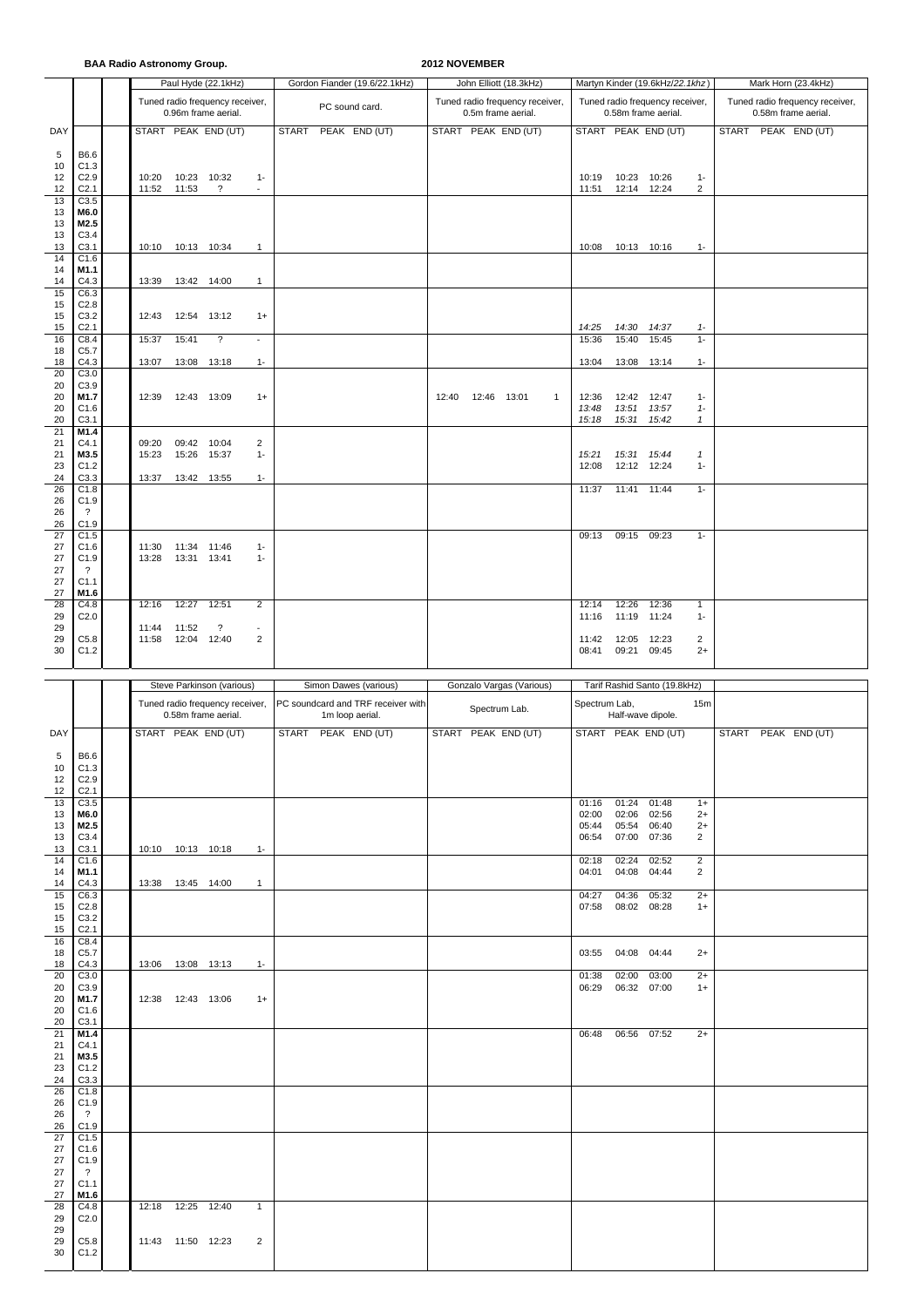**BAA Radio Astronomy Group. 2012 NOVEMBER**

|          |                                             |                     |             | Paul Hyde (22.1kHz)                                    |                          | Gordon Fiander (19.6/22.1kHz)                         | John Elliott (18.3kHz)               |                |                             | Martyn Kinder (19.6kHz/22.1khz) | Mark Horn (23.4kHz)   |  |  |                                 |  |
|----------|---------------------------------------------|---------------------|-------------|--------------------------------------------------------|--------------------------|-------------------------------------------------------|--------------------------------------|----------------|-----------------------------|---------------------------------|-----------------------|--|--|---------------------------------|--|
|          |                                             |                     |             | Tuned radio frequency receiver,                        |                          | PC sound card.                                        | Tuned radio frequency receiver,      |                |                             | Tuned radio frequency receiver, |                       |  |  | Tuned radio frequency receiver, |  |
|          |                                             |                     |             | 0.96m frame aerial.                                    |                          |                                                       | 0.5m frame aerial.                   |                | 0.58m frame aerial.         |                                 |                       |  |  | 0.58m frame aerial.             |  |
| DAY      |                                             |                     |             | START PEAK END (UT)                                    |                          | START<br>PEAK END (UT)                                | START PEAK END (UT)                  |                |                             | START PEAK END (UT)             |                       |  |  | START PEAK END (UT)             |  |
| 5<br>10  | B6.6<br>C1.3                                |                     |             |                                                        |                          |                                                       |                                      |                |                             |                                 |                       |  |  |                                 |  |
| 12<br>12 | C2.9<br>C <sub>2.1</sub>                    | 10:20<br>11:52      | 11:53       | 10:23 10:32<br>$\overline{\mathcal{E}}$                | $1 -$<br>$\sim$          |                                                       |                                      | 10:19<br>11:51 | 10:23 10:26<br>12:14 12:24  |                                 | $1 -$<br>2            |  |  |                                 |  |
| 13       | C3.5                                        |                     |             |                                                        |                          |                                                       |                                      |                |                             |                                 |                       |  |  |                                 |  |
| 13<br>13 | M6.0<br>M2.5                                |                     |             |                                                        |                          |                                                       |                                      |                |                             |                                 |                       |  |  |                                 |  |
| 13<br>13 | C3.4<br>C3.1                                | 10:10               |             | 10:13 10:34                                            | $\mathbf{1}$             |                                                       |                                      | 10:08          | 10:13 10:16                 |                                 | $1 -$                 |  |  |                                 |  |
| 14       | C1.6                                        |                     |             |                                                        |                          |                                                       |                                      |                |                             |                                 |                       |  |  |                                 |  |
| 14<br>14 | M1.1<br>C4.3                                | 13:39               |             | 13:42 14:00                                            | $\mathbf{1}$             |                                                       |                                      |                |                             |                                 |                       |  |  |                                 |  |
| 15<br>15 | C6.3<br>C <sub>2.8</sub>                    |                     |             |                                                        |                          |                                                       |                                      |                |                             |                                 |                       |  |  |                                 |  |
| 15<br>15 | C3.2<br>C <sub>2.1</sub>                    | 12:43               | 12:54       | 13:12                                                  | $1+$                     |                                                       |                                      |                |                             |                                 | $1 -$                 |  |  |                                 |  |
| 16       | C8.4                                        | 15:37               | 15:41       | $\overline{\cdot}$                                     | $\overline{\phantom{a}}$ |                                                       |                                      | 14:25<br>15:36 | 14:30<br>15:40              | 14:37<br>15:45                  | $1 -$                 |  |  |                                 |  |
| 18<br>18 | C <sub>5.7</sub><br>C4.3                    | 13:07               |             | 13:08 13:18                                            | $1 -$                    |                                                       |                                      | 13:04          | 13:08 13:14                 |                                 | $1 -$                 |  |  |                                 |  |
| 20<br>20 | C3.0<br>C3.9                                |                     |             |                                                        |                          |                                                       |                                      |                |                             |                                 |                       |  |  |                                 |  |
| 20       | M1.7                                        | 12:39               |             | 12:43 13:09                                            | $1+$                     |                                                       | 12:40<br>12:46 13:01<br>$\mathbf{1}$ | 12:36          | 12:42 12:47                 |                                 | $1 -$                 |  |  |                                 |  |
| 20<br>20 | C1.6<br>C3.1                                |                     |             |                                                        |                          |                                                       |                                      | 13:48<br>15:18 | 13:51<br>15:31              | 13:57<br>15:42                  | $1 -$<br>$\mathbf{1}$ |  |  |                                 |  |
| 21<br>21 | M1.4<br>C4.1                                | 09:20               | 09:42       | 10:04                                                  | $\overline{c}$           |                                                       |                                      |                |                             |                                 |                       |  |  |                                 |  |
| 21<br>23 | M3.5<br>C1.2                                | 15:23               | 15:26 15:37 |                                                        | $1 -$                    |                                                       |                                      | 15:21<br>12:08 | 15:31  15:44<br>12:12 12:24 |                                 | $\mathbf{1}$<br>$1 -$ |  |  |                                 |  |
| 24       | C3.3                                        | 13:37               |             | 13:42 13:55                                            | $1 -$                    |                                                       |                                      |                |                             |                                 |                       |  |  |                                 |  |
| 26<br>26 | C1.8<br>C1.9                                |                     |             |                                                        |                          |                                                       |                                      | 11:37          | 11:41 11:44                 |                                 | $1 -$                 |  |  |                                 |  |
| 26<br>26 | $\cdot$ ?<br>C1.9                           |                     |             |                                                        |                          |                                                       |                                      |                |                             |                                 |                       |  |  |                                 |  |
| 27<br>27 | C1.5<br>C1.6                                | 11:30               |             | 11:34 11:46                                            | $1 -$                    |                                                       |                                      | 09:13          | 09:15 09:23                 |                                 | $1 -$                 |  |  |                                 |  |
| 27<br>27 | C1.9<br>$\cdot$                             | 13:28               | 13:31 13:41 |                                                        | $1 -$                    |                                                       |                                      |                |                             |                                 |                       |  |  |                                 |  |
| 27       | C <sub>1.1</sub>                            |                     |             |                                                        |                          |                                                       |                                      |                |                             |                                 |                       |  |  |                                 |  |
| 27<br>28 | M1.6<br>C4.8                                | 12:16               | 12:27       | 12:51                                                  | $\overline{2}$           |                                                       |                                      | 12:14          | 12:26                       | 12:36                           | $\mathbf{1}$          |  |  |                                 |  |
| 29<br>29 | C <sub>2.0</sub>                            | 11:44               | 11:52       | $\overline{\mathbf{?}}$                                | $\blacksquare$           |                                                       |                                      | 11:16          | 11:19                       | 11:24                           | $1 -$                 |  |  |                                 |  |
| 29<br>30 | C5.8<br>C1.2                                | 11:58               |             | 12:04 12:40                                            | $\overline{2}$           |                                                       |                                      | 11:42<br>08:41 | 12:05 12:23<br>09:21        | 09:45                           | 2<br>$2+$             |  |  |                                 |  |
|          |                                             |                     |             |                                                        |                          |                                                       |                                      |                |                             |                                 |                       |  |  |                                 |  |
|          |                                             |                     |             |                                                        |                          |                                                       |                                      |                |                             |                                 |                       |  |  |                                 |  |
|          |                                             |                     |             | Steve Parkinson (various)                              |                          | Simon Dawes (various)                                 | Gonzalo Vargas (Various)             |                |                             | Tarif Rashid Santo (19.8kHz)    |                       |  |  |                                 |  |
|          |                                             |                     |             | Tuned radio frequency receiver,<br>0.58m frame aerial. |                          | PC soundcard and TRF receiver with<br>1m loop aerial. | Spectrum Lab.                        | Spectrum Lab,  | Half-wave dipole.           |                                 | 15m                   |  |  |                                 |  |
| DAY      |                                             |                     |             | START PEAK END (UT)                                    |                          | START PEAK END (UT)                                   | START PEAK END (UT)                  |                |                             | START PEAK END (UT)             |                       |  |  | START PEAK END (UT)             |  |
| 5        | B6.6                                        |                     |             |                                                        |                          |                                                       |                                      |                |                             |                                 |                       |  |  |                                 |  |
| 10       | C1.3                                        |                     |             |                                                        |                          |                                                       |                                      |                |                             |                                 |                       |  |  |                                 |  |
| 12<br>12 | C <sub>2.9</sub><br>C <sub>2.1</sub>        |                     |             |                                                        |                          |                                                       |                                      |                |                             |                                 |                       |  |  |                                 |  |
| 13<br>13 | C3.5<br>M6.0                                |                     |             |                                                        |                          |                                                       |                                      | 01:16<br>02:00 | 01:24 01:48<br>02:06        | 02:56                           | $1+$<br>$2+$          |  |  |                                 |  |
| 13<br>13 | M2.5<br>C3.4                                |                     |             |                                                        |                          |                                                       |                                      | 05:44<br>06:54 | 05:54<br>07:00 07:36        | 06:40                           | $2+$<br>2             |  |  |                                 |  |
| 13<br>14 | C3.1<br>C1.6                                | 10:10 10:13 10:18   |             |                                                        | $1 -$                    |                                                       |                                      | 02:18          | 02:24                       | 02:52                           | $\overline{2}$        |  |  |                                 |  |
| 14       | M1.1                                        |                     |             |                                                        |                          |                                                       |                                      | 04:01          | 04:08                       | 04:44                           | $\overline{2}$        |  |  |                                 |  |
| 14<br>15 | C4.3<br>C6.3                                | 13:38  13:45  14:00 |             |                                                        | $\overline{1}$           |                                                       |                                      | 04:27          | 04:36                       | 05:32                           | $2+$                  |  |  |                                 |  |
| 15<br>15 | C2.8<br>C3.2                                |                     |             |                                                        |                          |                                                       |                                      | 07:58          | 08:02 08:28                 |                                 | $1+$                  |  |  |                                 |  |
| 15<br>16 | C <sub>2.1</sub><br>C8.4                    |                     |             |                                                        |                          |                                                       |                                      |                |                             |                                 |                       |  |  |                                 |  |
| 18       | C <sub>5.7</sub>                            |                     |             |                                                        |                          |                                                       |                                      |                | 03:55 04:08 04:44           |                                 | $2+$                  |  |  |                                 |  |
| 18<br>20 | C4.3<br>C3.0                                | 13:06  13:08  13:13 |             |                                                        | $1 -$                    |                                                       |                                      | 01:38          | 02:00                       | 03:00                           | $2+$                  |  |  |                                 |  |
| 20<br>20 | C3.9<br>M1.7                                | 12:38  12:43  13:06 |             |                                                        | $1+$                     |                                                       |                                      | 06:29          | 06:32 07:00                 |                                 | $1+$                  |  |  |                                 |  |
| 20<br>20 | C1.6<br>C3.1                                |                     |             |                                                        |                          |                                                       |                                      |                |                             |                                 |                       |  |  |                                 |  |
| 21       | M1.4<br>C4.1                                |                     |             |                                                        |                          |                                                       |                                      | 06:48          | 06:56 07:52                 |                                 | $2+$                  |  |  |                                 |  |
| 21<br>21 | M3.5                                        |                     |             |                                                        |                          |                                                       |                                      |                |                             |                                 |                       |  |  |                                 |  |
| 23<br>24 | C1.2<br>C3.3                                |                     |             |                                                        |                          |                                                       |                                      |                |                             |                                 |                       |  |  |                                 |  |
| 26<br>26 | C1.8<br>C1.9                                |                     |             |                                                        |                          |                                                       |                                      |                |                             |                                 |                       |  |  |                                 |  |
| 26<br>26 | $\overline{\mathbf{?}}$<br>C1.9             |                     |             |                                                        |                          |                                                       |                                      |                |                             |                                 |                       |  |  |                                 |  |
| 27       | C1.5                                        |                     |             |                                                        |                          |                                                       |                                      |                |                             |                                 |                       |  |  |                                 |  |
| 27<br>27 | C1.6<br>C1.9                                |                     |             |                                                        |                          |                                                       |                                      |                |                             |                                 |                       |  |  |                                 |  |
| 27<br>27 | $\overline{\mathbf{?}}$<br>C <sub>1.1</sub> |                     |             |                                                        |                          |                                                       |                                      |                |                             |                                 |                       |  |  |                                 |  |
| 27<br>28 | M1.6<br>C4.8                                | 12:18               |             | 12:25 12:40                                            | $\mathbf{1}$             |                                                       |                                      |                |                             |                                 |                       |  |  |                                 |  |
| 29<br>29 | C <sub>2.0</sub>                            |                     |             |                                                        |                          |                                                       |                                      |                |                             |                                 |                       |  |  |                                 |  |
| 29<br>30 | C5.8<br>C1.2                                | 11:43  11:50  12:23 |             |                                                        | 2                        |                                                       |                                      |                |                             |                                 |                       |  |  |                                 |  |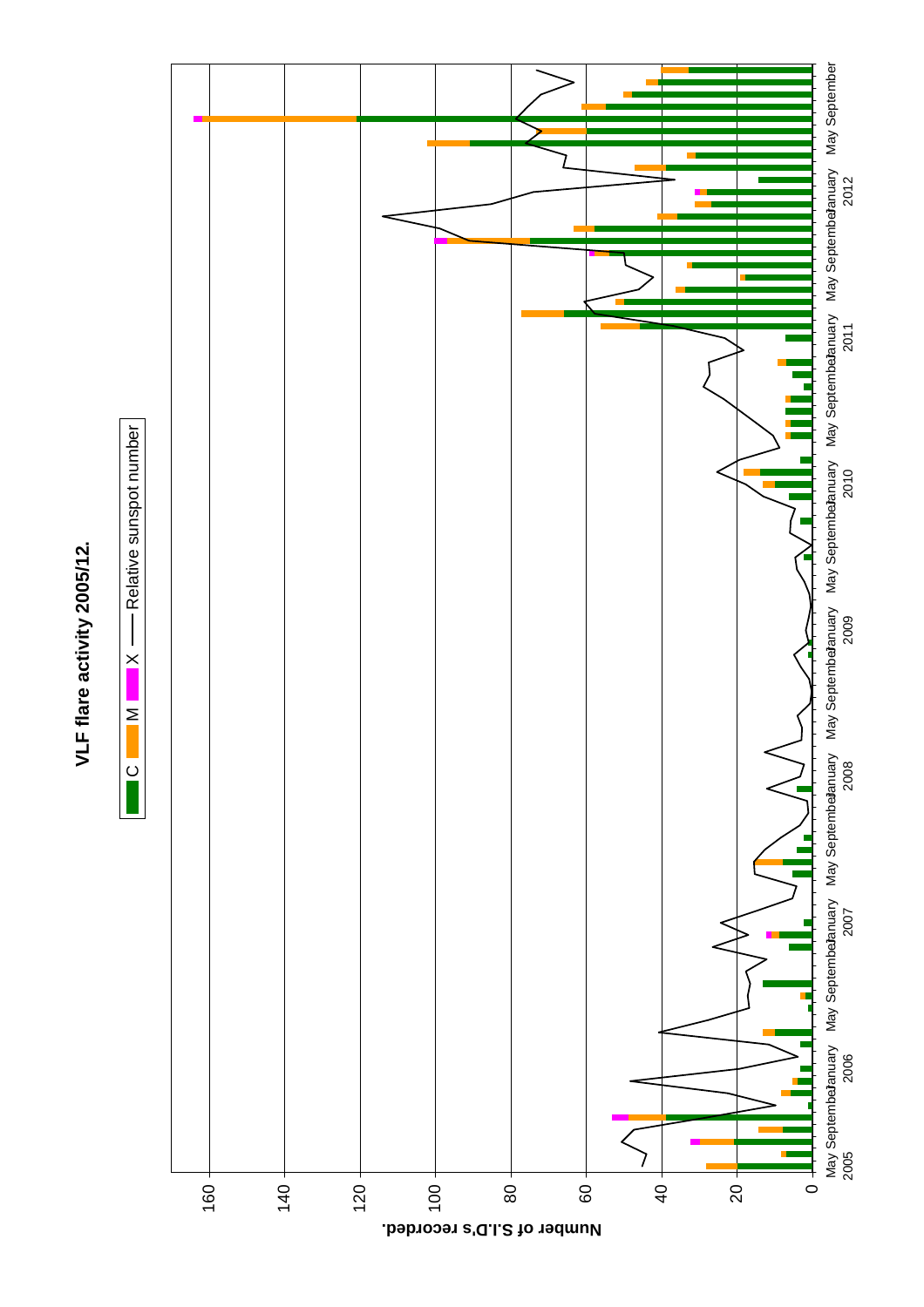

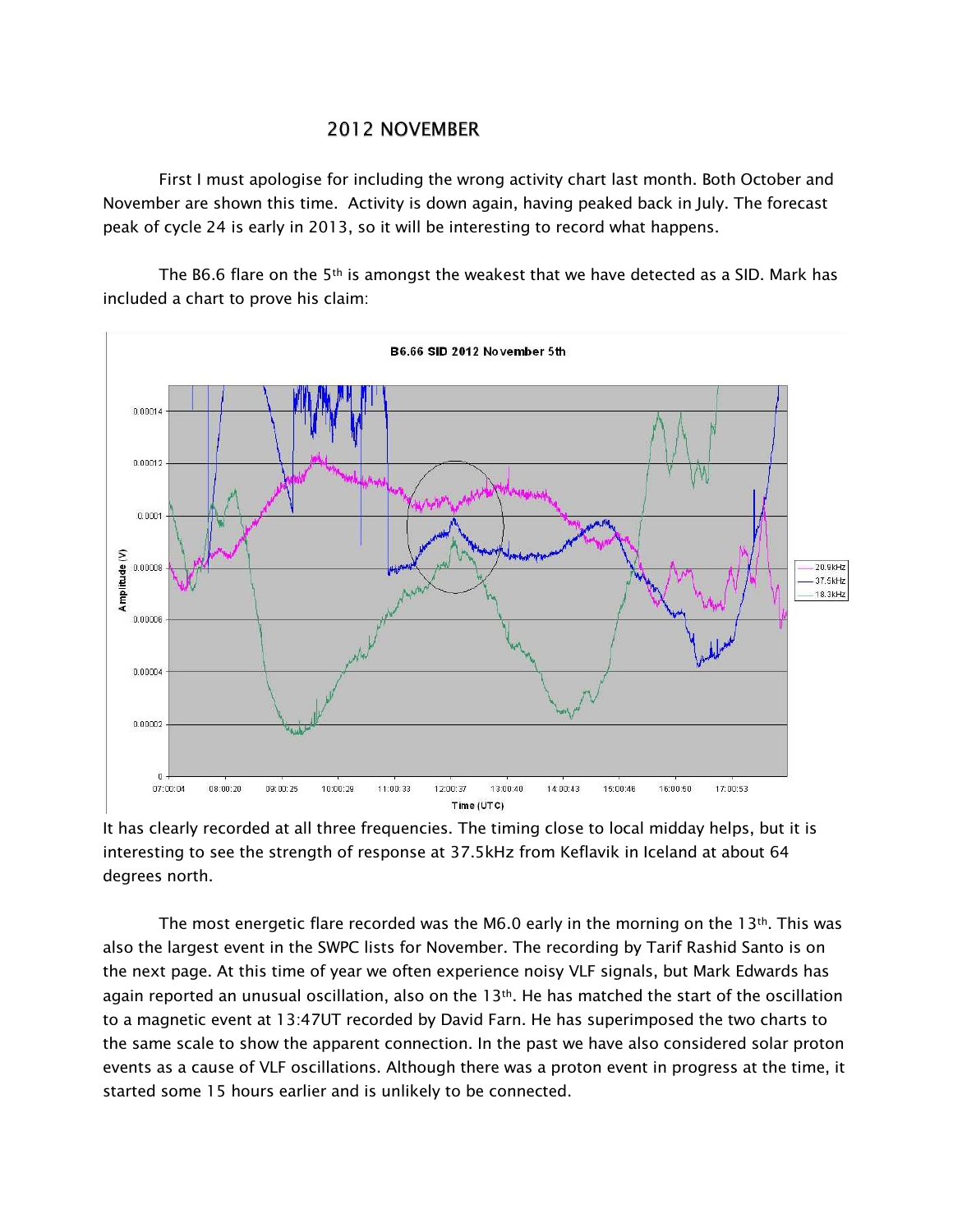## **2012 NOVEMBER**

First I must apologise for including the wrong activity chart last month. Both October and November are shown this time. Activity is down again, having peaked back in July. The forecast peak of cycle 24 is early in 2013, so it will be interesting to record what happens.

The B6.6 flare on the 5<sup>th</sup> is amongst the weakest that we have detected as a SID. Mark has included a chart to prove his claim:



It has clearly recorded at all three frequencies. The timing close to local midday helps, but it is interesting to see the strength of response at 37.5kHz from Keflavik in Iceland at about 64 degrees north.

The most energetic flare recorded was the M6.0 early in the morning on the 13<sup>th</sup>. This was also the largest event in the SWPC lists for November. The recording by Tarif Rashid Santo is on the next page. At this time of year we often experience noisy VLF signals, but Mark Edwards has again reported an unusual oscillation, also on the  $13<sup>th</sup>$ . He has matched the start of the oscillation to a magnetic event at 13:47UT recorded by David Farn. He has superimposed the two charts to the same scale to show the apparent connection. In the past we have also considered solar proton events as a cause of VLF oscillations. Although there was a proton event in progress at the time, it started some 15 hours earlier and is unlikely to be connected.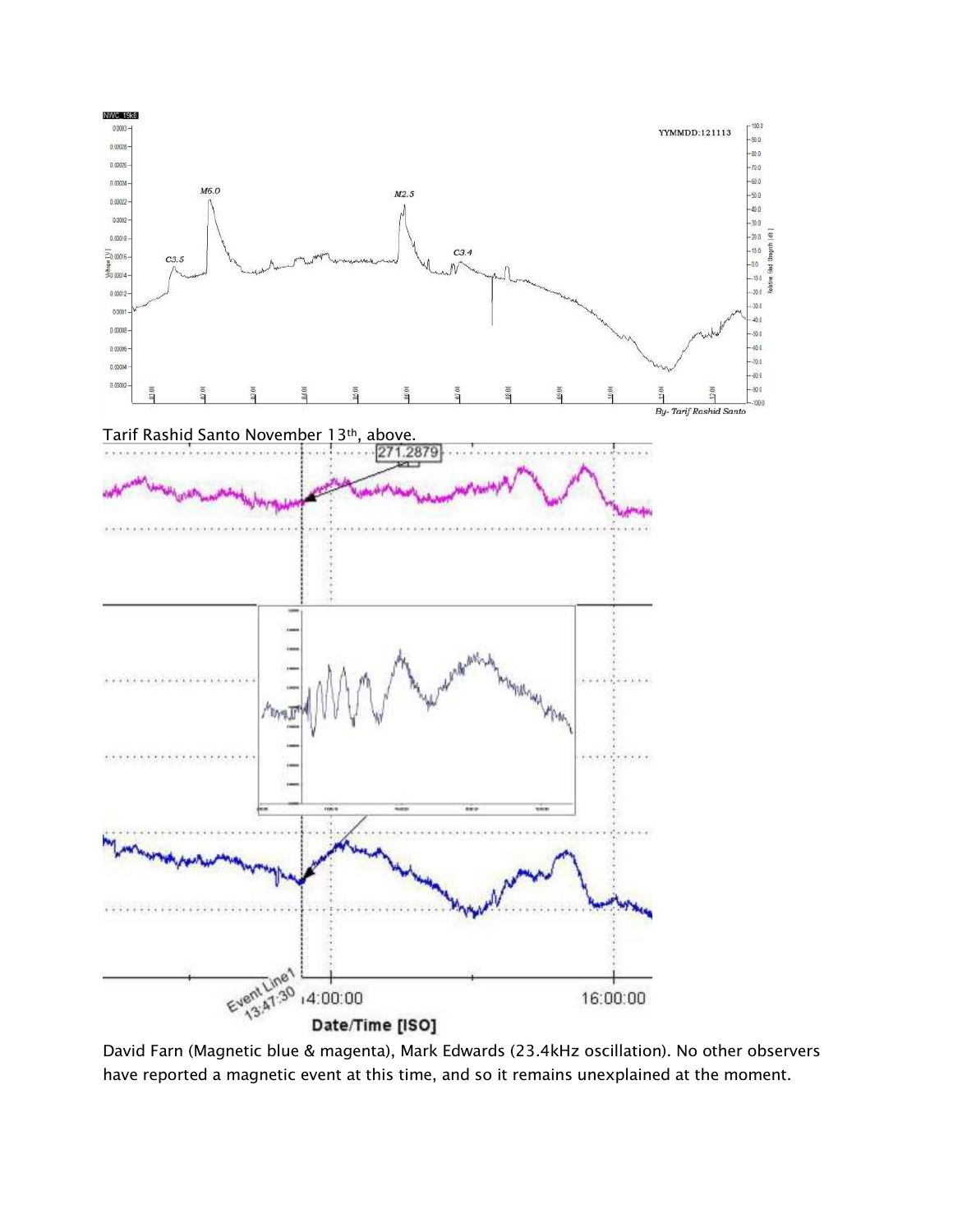

David Farn (Magnetic blue & magenta), Mark Edwards (23.4kHz oscillation). No other observers have reported a magnetic event at this time, and so it remains unexplained at the moment.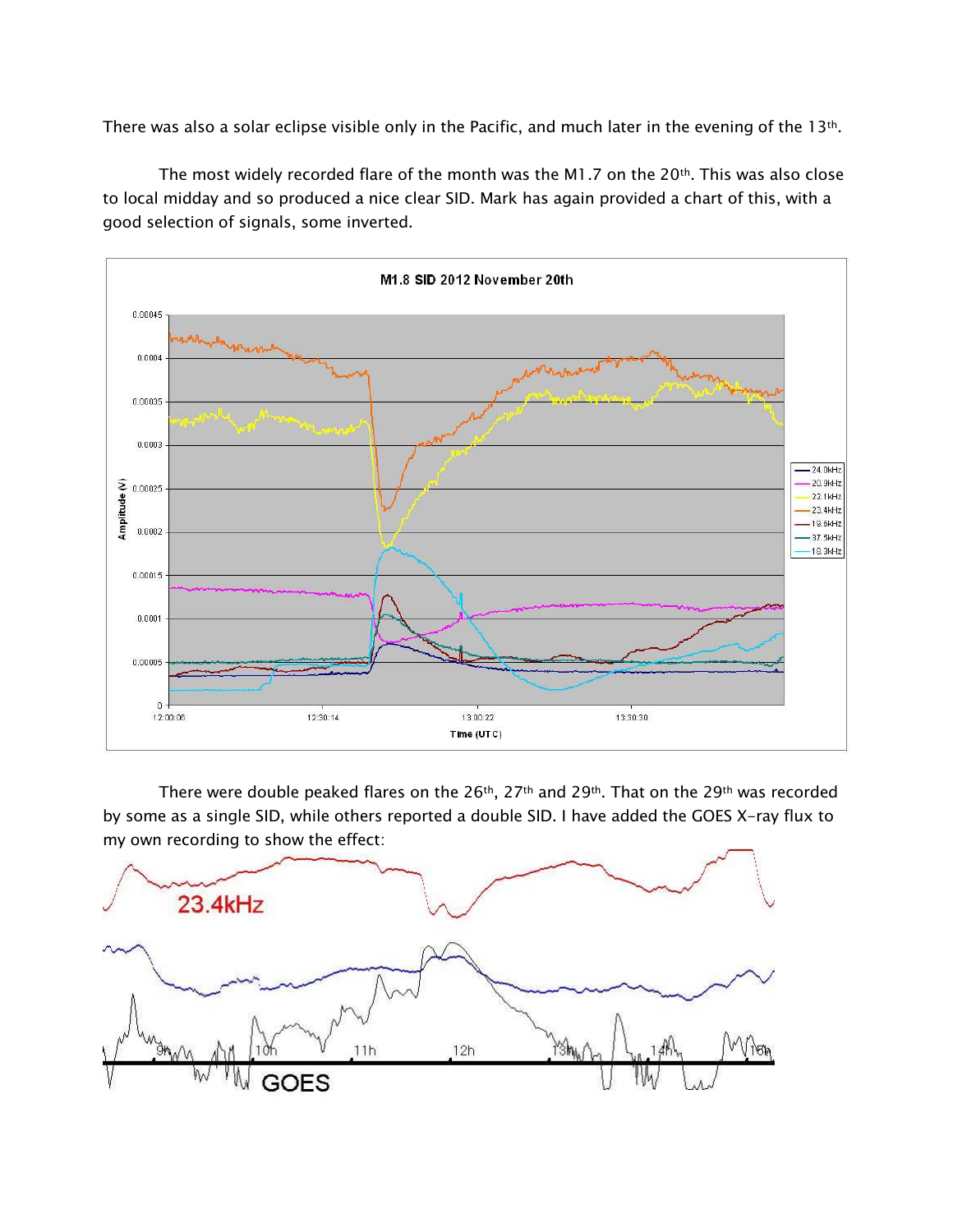There was also a solar eclipse visible only in the Pacific, and much later in the evening of the 13th.

The most widely recorded flare of the month was the M1.7 on the 20<sup>th</sup>. This was also close to local midday and so produced a nice clear SID. Mark has again provided a chart of this, with a good selection of signals, some inverted.



There were double peaked flares on the 26<sup>th</sup>, 27<sup>th</sup> and 29<sup>th</sup>. That on the 29<sup>th</sup> was recorded by some as a single SID, while others reported a double SID. I have added the GOES X-ray flux to my own recording to show the effect:

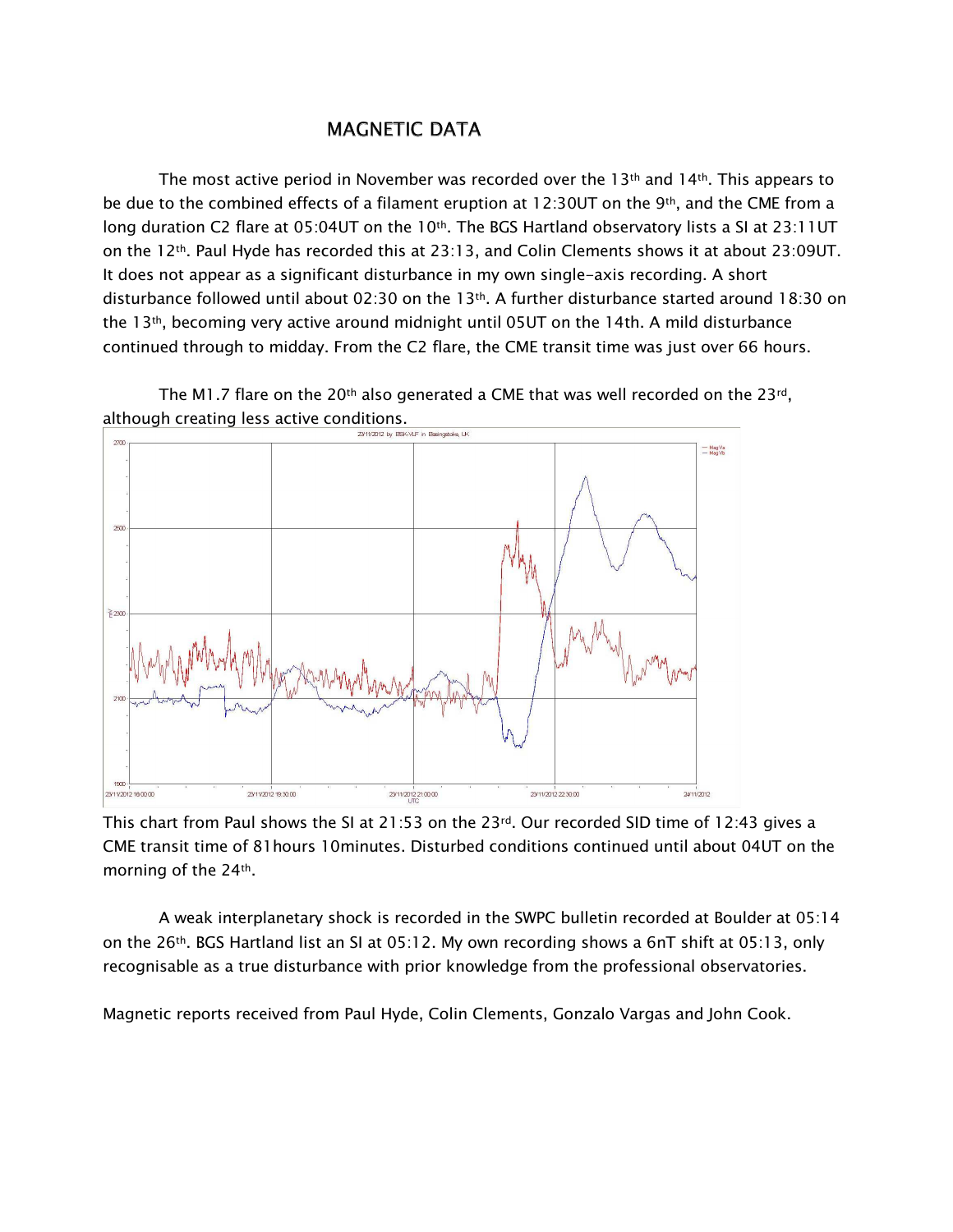## **MAGNETIC DATA**

The most active period in November was recorded over the 13<sup>th</sup> and 14<sup>th</sup>. This appears to be due to the combined effects of a filament eruption at 12:30UT on the 9<sup>th</sup>, and the CME from a long duration C2 flare at 05:04UT on the 10th. The BGS Hartland observatory lists a SI at 23:11UT on the 12th. Paul Hyde has recorded this at 23:13, and Colin Clements shows it at about 23:09UT. It does not appear as a significant disturbance in my own single-axis recording. A short disturbance followed until about 02:30 on the 13th. A further disturbance started around 18:30 on the 13<sup>th</sup>, becoming very active around midnight until 05UT on the 14th. A mild disturbance continued through to midday. From the C2 flare, the CME transit time was just over 66 hours.

The M1.7 flare on the 20<sup>th</sup> also generated a CME that was well recorded on the 23<sup>rd</sup>, although creating less active conditions.



This chart from Paul shows the SI at 21:53 on the  $23rd$ . Our recorded SID time of 12:43 gives a CME transit time of 81 hours 10 minutes. Disturbed conditions continued until about 04UT on the morning of the 24<sup>th</sup>.

A weak interplanetary shock is recorded in the SWPC bulletin recorded at Boulder at 05:14 on the 26<sup>th</sup>. BGS Hartland list an SI at 05:12. My own recording shows a 6nT shift at 05:13, only recognisable as a true disturbance with prior knowledge from the professional observatories.

Magnetic reports received from Paul Hyde, Colin Clements, Gonzalo Vargas and John Cook.